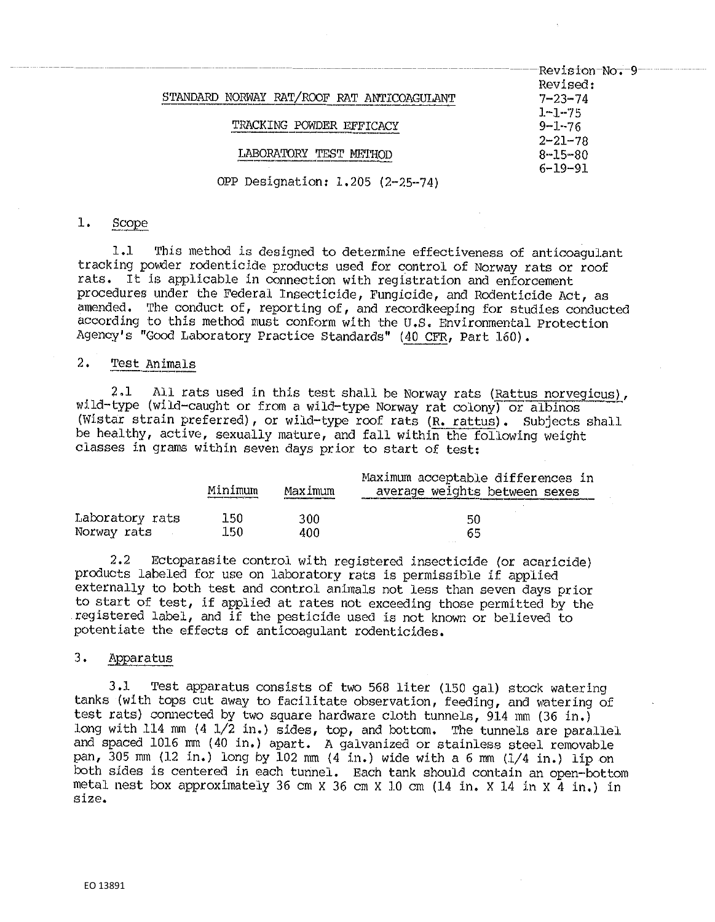|                                            | Revision No. - 9-<br>Revised: |
|--------------------------------------------|-------------------------------|
| STANDARD NORWAY RAT/ROOF RAT ANTICOAGULANT | $7 - 23 - 74$                 |
|                                            | $1 - 1 - 75$                  |
| TRACKING POWDER EFFICACY                   | $9 - 1 - 76$                  |
|                                            | $2 - 21 - 78$                 |
|                                            | $8 - 15 - 80$                 |
|                                            | $6 - 19 - 91$                 |
| OPP Designation: 1.205 (2-25-74)           |                               |
|                                            |                               |

#### $1.$ Scope

1.1 This method is designed to determine effectiveness of anticoagulant tracking powder rodenticide products used for control of Norway rats or roof rats. It is applicable in connection with registration and enforcement procedures under the Federal Insecticide, Fungicide, and Rodenticide Act, as amended. The conduct of, reporting of, and recordkeeping for studies conducted according to this method must conform with the U.S. Environmental Protection Agency's "Good Laboratory Practice Standards" (40 CFR, Part 160).

# 2. Test Animals

2.1 All rats used in this test shall be Norway rats (Rattus norvegicus), wild-type (wild-caught or from a wild-type Norway rat colony) or albinos (Wistar strain preferred), or wild-type roof rats (R. rattus). Subjects shall be healthy, active, sexually mature, and fall within the following weight classes in grams within seven days prior to start of test:

|                 | Minímum<br>a barat dan bawah dan bawah dan bawah dan bawah dan bawah dan bawah dan bawah dan bawah dan bawah dan bawah da | Maximum | Maximum acceptable differences in<br>average weights between sexes |
|-----------------|---------------------------------------------------------------------------------------------------------------------------|---------|--------------------------------------------------------------------|
| Laboratory rats | 150                                                                                                                       | 300     | 50                                                                 |
| Norway rats     | 150                                                                                                                       | 400     | 65                                                                 |

2,2 Ectoparasite control with registered insecticide (or acaricide) products labeled for use on laboratory rats is permissible if applied externally to both test and control animals not less than seven days prior to start of test, if applied at rates not exceeding those permitted by the registered label, and if the pesticide used is not known or believed to potentiate the effects of anticoagulant rodenticides. registered label, and if<br>potentiate the effects of<br>3. Apparatus

3,1 Test apparatus consists of two 568 liter (150 gal) stock watering tanks (with tops cut away to facilitate observation, feeding, and watering of test rats) connected by two square hardware cloth tunnels, 914 mm (36 in.) long with 114 mm (4 1/2 in.) sides, top, and bottom. The tunnels are parallel and spaced 1016 mm (40 in,) apart. A galvanized or stainless steel removable pan, 305 mm (12 in,) long by 102 mm (4 in.) wide with a 6 mm (1/4 in,) lip on both sides is centered in each tunnel. Each tank should contain an open-bottom metal nest box approximately 36 cm X 36 cm X 10 cm (14 in. x 14 in X 4 in,) in size.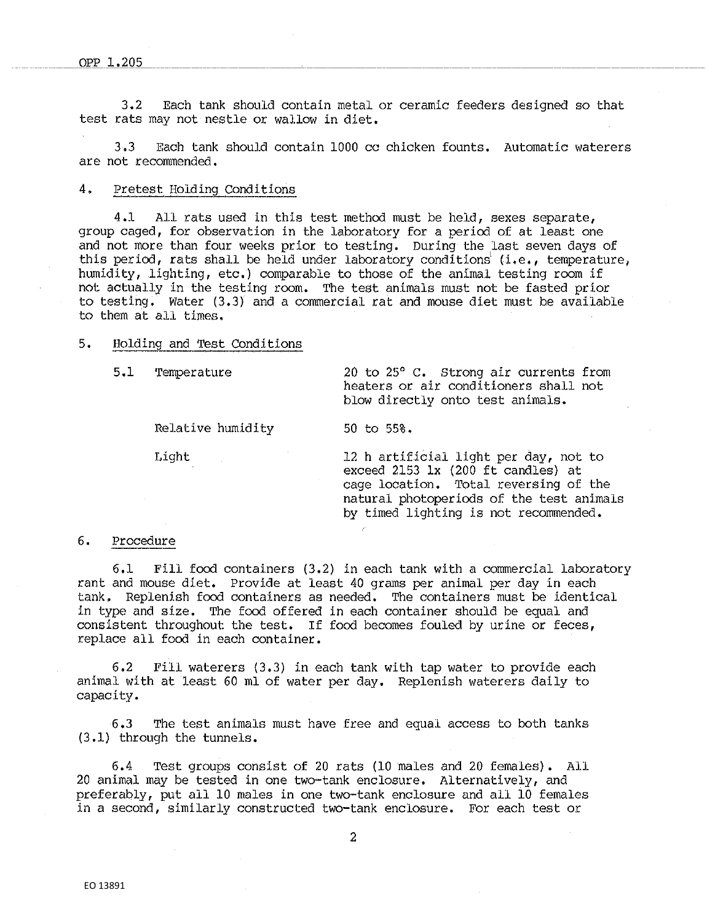3,2 Each tank should contain metal or ceramic feeders designed so that test rats may not nestle or wallow in diet.

3,3 Each tank should contain 1000 cc chicken founts. Automatic waterers are not recommended.

### 4. Pretest Holding Conditions

4 .J. All rats used in this test method must be held, sexes separate, group caged, for observation in the laboratory for a period of at least one and not more than four weeks prior to testing, During the last seven days of this period, rats shall be held under laboratory conditions (i.e., temperature, humidity, lighting, etc.) comparable to those of the animal testing room if not actually in the testing room. The test animals must not be fasted prior to testing. water (3,3) and a commercial rat and mouse diet must be available to them at all times.

### 5. Holding and Test Conditions

Relative humidity 50 to 55%,

5.1 Temperature 20 to 25° C. Strong air currents from heaters or air conditioners shall not blow directly onto test animals.

Light 12 h artificial light per day, not to exceed 2153 lx (200 ft candles) at cage location. Total reversing of the natural photoperiods of the test animals by timed lighting is not recommended,

## 6. Procedure

6.1 Fill food containers (3.2) in each tank with a commercial laboratory rant and mouse diet. Provide at least 40 grams per animal per day in each tank, Replenish food containers as needed, The containers must be identical in type and size. The food offered in each container should be equal and consistent throughout the test. If food becomes fouled by urine or feces, replace all food in each container.

6.2 Fill waterers (3,3) in each tank with tap water to provide each animal with at least 60 ml of water per day. Replenish waterers daily to capacity.

6.3 The test animals must have free and equal access to both tanks (3,1) through the tunnels.

6,4 Test groups consist of 20 rats (10 males and 20 females). All 20 animal may be tested in one two-tank enclosure. Alternatively, and preferably, put all 10 males in one two-tank enclosure and all 10 females in a second, similarly constructed two-tank enclosure. For each test or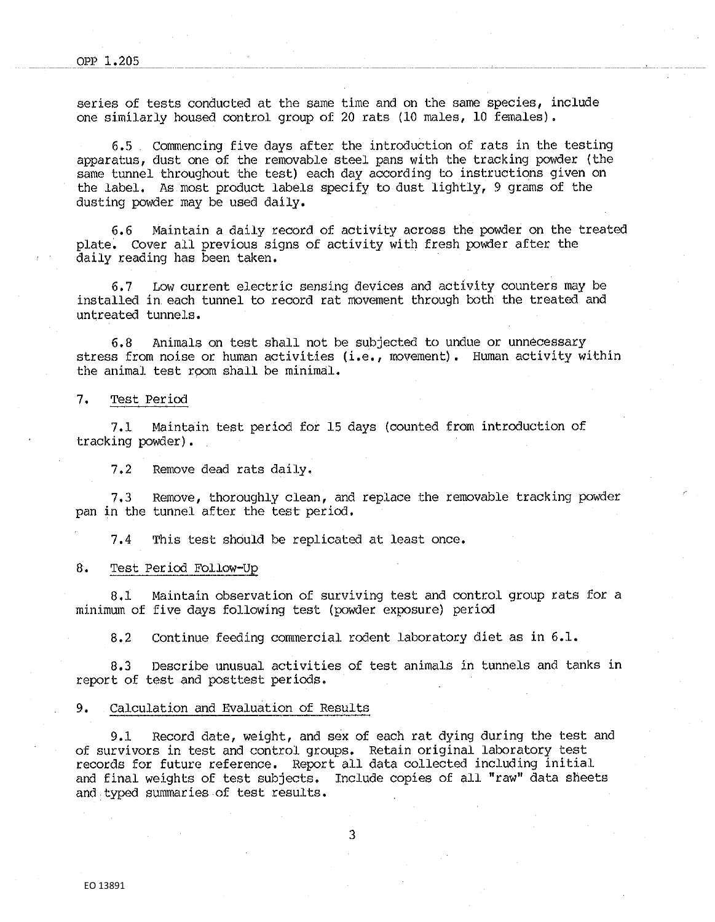series of tests conducted at the same time and on the same species, include one similarly housed control group of 20 rats (10 males, 10 females),

6,5 Commencing five days after the introduction of rats in the testing apparatus, dust one of the removable steel pans with the tracking powder (the same tunnel throughout the test) each day according to instructions given on the label. As most product labels specify to dust lightly, 9 grams of the dusting powder may be used daily,

6.6 Maintain a daily record of activity across the powder on the treated plate, Cover all previous signs of activity with fresh powder after the daily reading has been taken.

6,7 Low current electric sensing devices and activity counters may be installed in each tunnel to record rat movement through both the treated and untreated tunnels.

6,8 Animals on test shall not be subjected to undue or unnecessary stress from noise or human activities (i.e., movement). Human activity within the animal test room shall be minimal.

#### 7, Test Period

7. l Maintain test period for 15 days (counted from introduction of tracking powder),

7,2 Remove dead rats daily.

7,3 Remove, thoroughly clean, and replace the removable tracking powder pan in the tunnel after the test period,

7,4 This test should be replicated at least once,

#### 8. Test Period Follow-Up

8 ,J. Maintain observation of surviving test and control group rats for a minimum of five days following test (powder exposure) period

8.2 Continue feeding commercial rodent laboratory diet as in 6.1.

8,3 Describe unusual activities of test animals in tunnels and tanks in report of test and posttest periods,

#### 9, Calculation and Evaluation of Results

9.1 Record date, weight, and sex of each rat dying during the test and of survivors in test and control groups. Retain original laboratory test records for future reference, Report all data collected including initial and final weights of test subjects, Include copies of all "raw" data sheets and typed summaries of test results.

3